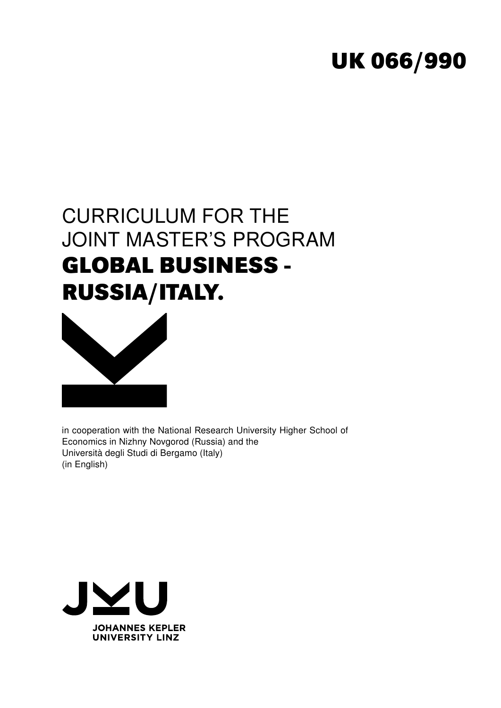# **UK 066/990**

# CURRICULUM FOR THE JOINT MASTER'S PROGRAM **GLOBAL BUSINESS - RUSSIA/ITALY.**



in cooperation with the National Research University Higher School of Economics in Nizhny Novgorod (Russia) and the Università degli Studi di Bergamo (Italy) (in English)

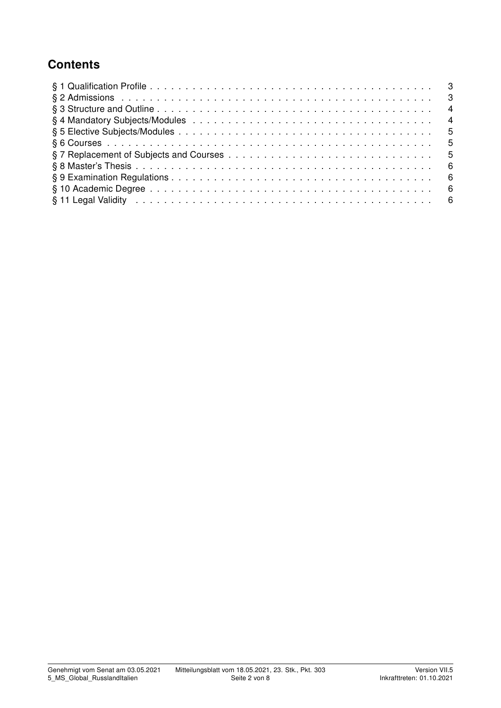## **Contents**

| § 11 Legal Validity in the contract of the contract of the contract of the contract of the contract of the contract of the set of the contract of the contract of the contract of the contract of the contract of the contract |  |
|--------------------------------------------------------------------------------------------------------------------------------------------------------------------------------------------------------------------------------|--|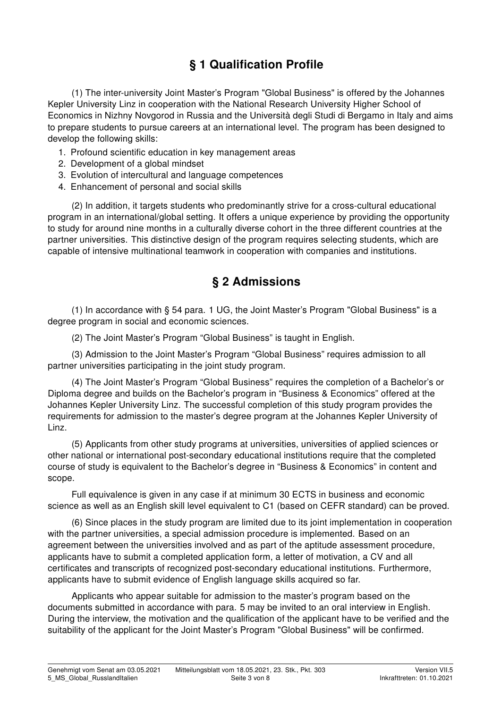# § 1 Qualification Profile

(1) The inter-university Joint Master's Program "Global Business" is offered by the Johannes Kepler University Linz in cooperation with the National Research University Higher School of Economics in Nizhny Novgorod in Russia and the Università degli Studi di Bergamo in Italy and aims to prepare students to pursue careers at an international level. The program has been designed to develop the following skills:

- 1. Profound scientific education in key management areas
- 2. Development of a global mindset
- 3. Evolution of intercultural and language competences
- 4. Enhancement of personal and social skills

(2) In addition, it targets students who predominantly strive for a cross-cultural educational program in an international/global setting. It offers a unique experience by providing the opportunity to study for around nine months in a culturally diverse cohort in the three different countries at the partner universities. This distinctive design of the program requires selecting students, which are capable of intensive multinational teamwork in cooperation with companies and institutions.

#### § 2 Admissions

(1) In accordance with § 54 para. 1 UG, the Joint Master's Program "Global Business" is a degree program in social and economic sciences.

(2) The Joint Master's Program "Global Business" is taught in English.

(3) Admission to the Joint Master's Program "Global Business" requires admission to all partner universities participating in the joint study program.

(4) The Joint Master's Program "Global Business" requires the completion of a Bachelor's or Diploma degree and builds on the Bachelor's program in "Business & Economics" offered at the Johannes Kepler University Linz. The successful completion of this study program provides the requirements for admission to the master's degree program at the Johannes Kepler University of Linz.

(5) Applicants from other study programs at universities, universities of applied sciences or other national or international post-secondary educational institutions require that the completed course of study is equivalent to the Bachelor's degree in "Business & Economics" in content and scope.

Full equivalence is given in any case if at minimum 30 ECTS in business and economic science as well as an English skill level equivalent to C1 (based on CEFR standard) can be proved.

(6) Since places in the study program are limited due to its joint implementation in cooperation with the partner universities, a special admission procedure is implemented. Based on an agreement between the universities involved and as part of the aptitude assessment procedure, applicants have to submit a completed application form, a letter of motivation, a CV and all certificates and transcripts of recognized post-secondary educational institutions. Furthermore, applicants have to submit evidence of English language skills acquired so far.

Applicants who appear suitable for admission to the master's program based on the documents submitted in accordance with para. 5 may be invited to an oral interview in English. During the interview, the motivation and the qualification of the applicant have to be verified and the suitability of the applicant for the Joint Master's Program "Global Business" will be confirmed.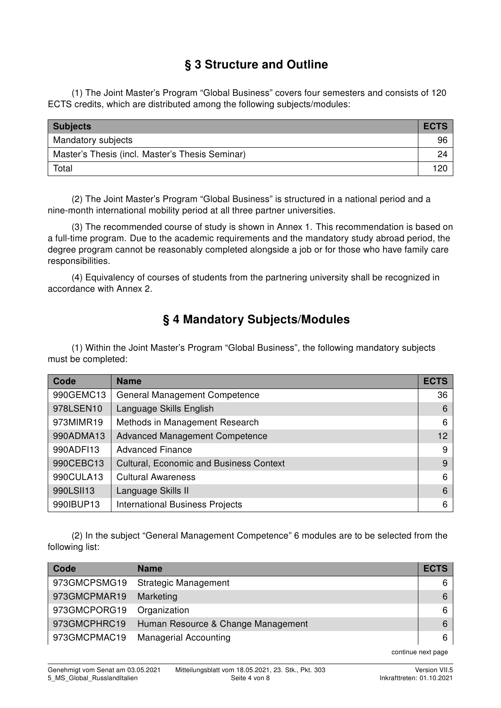## § 3 Structure and Outline

(1) The Joint Master's Program "Global Business" covers four semesters and consists of 120 ECTS credits, which are distributed among the following subjects/modules:

| <b>Subjects</b>                                 | <b>ECTS</b> |
|-------------------------------------------------|-------------|
| Mandatory subjects                              | 96          |
| Master's Thesis (incl. Master's Thesis Seminar) | 24          |
| Total                                           | 120         |

(2) The Joint Master's Program "Global Business" is structured in a national period and a nine-month international mobility period at all three partner universities.

(3) The recommended course of study is shown in Annex 1. This recommendation is based on a full-time program. Due to the academic requirements and the mandatory study abroad period, the degree program cannot be reasonably completed alongside a job or for those who have family care responsibilities.

(4) Equivalency of courses of students from the partnering university shall be recognized in accordance with Annex 2.

## § 4 Mandatory Subjects/Modules

(1) Within the Joint Master's Program "Global Business", the following mandatory subjects must be completed:

| Code      | <b>Name</b>                                    | <b>ECTS</b>     |
|-----------|------------------------------------------------|-----------------|
| 990GEMC13 | <b>General Management Competence</b>           | 36              |
| 978LSEN10 | Language Skills English                        | 6               |
| 973MIMR19 | Methods in Management Research                 | 6               |
| 990ADMA13 | <b>Advanced Management Competence</b>          | 12 <sup>2</sup> |
| 990ADF113 | <b>Advanced Finance</b>                        | 9               |
| 990CEBC13 | <b>Cultural, Economic and Business Context</b> | 9               |
| 990CULA13 | <b>Cultural Awareness</b>                      | 6               |
| 990LSII13 | Language Skills II                             | 6               |
| 990IBUP13 | <b>International Business Projects</b>         | 6               |

(2) In the subject "General Management Competence" 6 modules are to be selected from the following list:

| Code         | <b>Name</b>                        | <b>ECTS</b> |
|--------------|------------------------------------|-------------|
| 973GMCPSMG19 | <b>Strategic Management</b>        | 6           |
| 973GMCPMAR19 | Marketing                          | 6           |
| 973GMCPORG19 | Organization                       | 6           |
| 973GMCPHRC19 | Human Resource & Change Management | 6           |
| 973GMCPMAC19 | <b>Managerial Accounting</b>       | 6           |

continue next page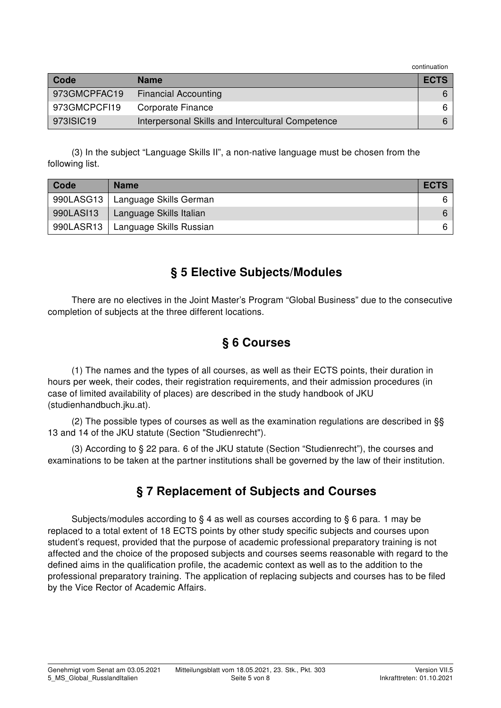continuation

| Code         | <b>Name</b>                                       | <b>ECTS</b> |
|--------------|---------------------------------------------------|-------------|
| 973GMCPFAC19 | <b>Financial Accounting</b>                       |             |
| 973GMCPCFI19 | Corporate Finance                                 |             |
| 973ISIC19    | Interpersonal Skills and Intercultural Competence |             |

(3) In the subject "Language Skills II", a non-native language must be chosen from the following list.

| Code      | <b>Name</b>             | <b>ECTS</b> |
|-----------|-------------------------|-------------|
| 990LASG13 | Language Skills German  | 6.          |
| 990LAS113 | Language Skills Italian | 6           |
| 990LASR13 | Language Skills Russian | 6.          |

## § 5 Elective Subjects/Modules

There are no electives in the Joint Master's Program "Global Business" due to the consecutive completion of subjects at the three different locations.

## § 6 Courses

(1) The names and the types of all courses, as well as their ECTS points, their duration in hours per week, their codes, their registration requirements, and their admission procedures (in case of limited availability of places) are described in the study handbook of JKU (studienhandbuch.jku.at).

(2) The possible types of courses as well as the examination regulations are described in §§ 13 and 14 of the JKU statute (Section "Studienrecht").

(3) According to § 22 para. 6 of the JKU statute (Section "Studienrecht"), the courses and examinations to be taken at the partner institutions shall be governed by the law of their institution.

## § 7 Replacement of Subjects and Courses

Subjects/modules according to § 4 as well as courses according to § 6 para. 1 may be replaced to a total extent of 18 ECTS points by other study specific subjects and courses upon student's request, provided that the purpose of academic professional preparatory training is not affected and the choice of the proposed subjects and courses seems reasonable with regard to the defined aims in the qualification profile, the academic context as well as to the addition to the professional preparatory training. The application of replacing subjects and courses has to be filed by the Vice Rector of Academic Affairs.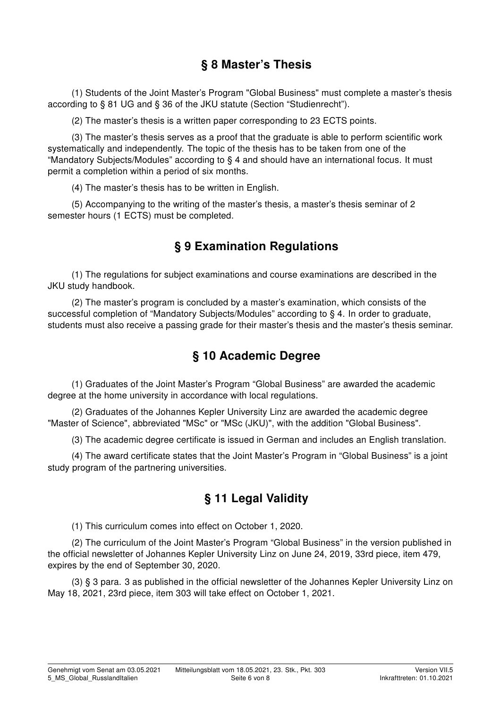## § 8 Master's Thesis

(1) Students of the Joint Master's Program "Global Business" must complete a master's thesis according to § 81 UG and § 36 of the JKU statute (Section "Studienrecht").

(2) The master's thesis is a written paper corresponding to 23 ECTS points.

(3) The master's thesis serves as a proof that the graduate is able to perform scientific work systematically and independently. The topic of the thesis has to be taken from one of the "Mandatory Subjects/Modules" according to § 4 and should have an international focus. It must permit a completion within a period of six months.

(4) The master's thesis has to be written in English.

(5) Accompanying to the writing of the master's thesis, a master's thesis seminar of 2 semester hours (1 ECTS) must be completed.

## § 9 Examination Regulations

(1) The regulations for subject examinations and course examinations are described in the JKU study handbook.

(2) The master's program is concluded by a master's examination, which consists of the successful completion of "Mandatory Subjects/Modules" according to § 4. In order to graduate, students must also receive a passing grade for their master's thesis and the master's thesis seminar.

## § 10 Academic Degree

(1) Graduates of the Joint Master's Program "Global Business" are awarded the academic degree at the home university in accordance with local regulations.

(2) Graduates of the Johannes Kepler University Linz are awarded the academic degree "Master of Science", abbreviated "MSc" or "MSc (JKU)", with the addition "Global Business".

(3) The academic degree certificate is issued in German and includes an English translation.

(4) The award certificate states that the Joint Master's Program in "Global Business" is a joint study program of the partnering universities.

## § 11 Legal Validity

(1) This curriculum comes into effect on October 1, 2020.

(2) The curriculum of the Joint Master's Program "Global Business" in the version published in the official newsletter of Johannes Kepler University Linz on June 24, 2019, 33rd piece, item 479, expires by the end of September 30, 2020.

(3) § 3 para. 3 as published in the official newsletter of the Johannes Kepler University Linz on May 18, 2021, 23rd piece, item 303 will take effect on October 1, 2021.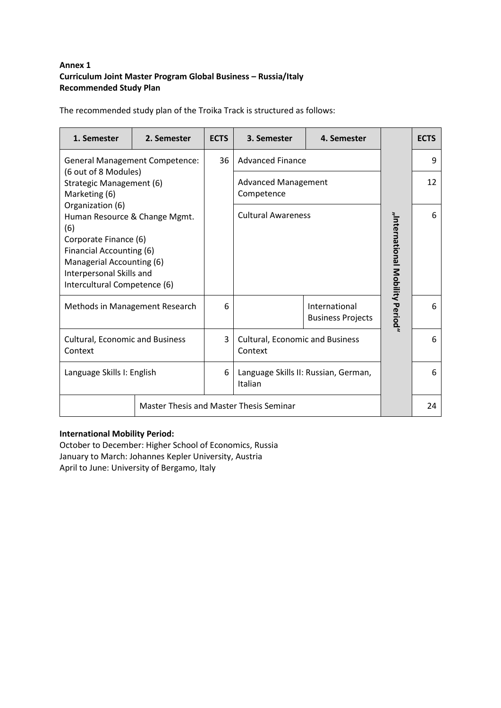#### **Annex 1 Curriculum Joint Master Program Global Business – Russia/Italy Recommended Study Plan**

The recommended study plan of the Troika Track is structured as follows:

| 1. Semester                                                                                                                                                                                            | 2. Semester                                    | <b>ECTS</b> | 3. Semester                                       | 4. Semester                               |                                 | <b>ECTS</b> |
|--------------------------------------------------------------------------------------------------------------------------------------------------------------------------------------------------------|------------------------------------------------|-------------|---------------------------------------------------|-------------------------------------------|---------------------------------|-------------|
|                                                                                                                                                                                                        | <b>General Management Competence:</b>          | 36          | <b>Advanced Finance</b>                           |                                           |                                 | 9           |
| (6 out of 8 Modules)<br>Strategic Management (6)<br>Marketing (6)                                                                                                                                      |                                                |             | <b>Advanced Management</b><br>Competence          |                                           |                                 | 12          |
| Organization (6)<br>Human Resource & Change Mgmt.<br>(6)<br>Corporate Finance (6)<br>Financial Accounting (6)<br>Managerial Accounting (6)<br>Interpersonal Skills and<br>Intercultural Competence (6) |                                                |             | <b>Cultural Awareness</b>                         |                                           | "International Mobility Period" | 6           |
| Methods in Management Research                                                                                                                                                                         |                                                | 6           |                                                   | International<br><b>Business Projects</b> |                                 | 6           |
| <b>Cultural, Economic and Business</b><br>Context                                                                                                                                                      |                                                | 3           | <b>Cultural, Economic and Business</b><br>Context |                                           |                                 | 6           |
| Language Skills I: English                                                                                                                                                                             |                                                | 6           | Language Skills II: Russian, German,<br>Italian   |                                           |                                 | 6           |
|                                                                                                                                                                                                        | <b>Master Thesis and Master Thesis Seminar</b> |             |                                                   |                                           |                                 | 24          |

#### **International Mobility Period:**

October to December: Higher School of Economics, Russia January to March: Johannes Kepler University, Austria April to June: University of Bergamo, Italy